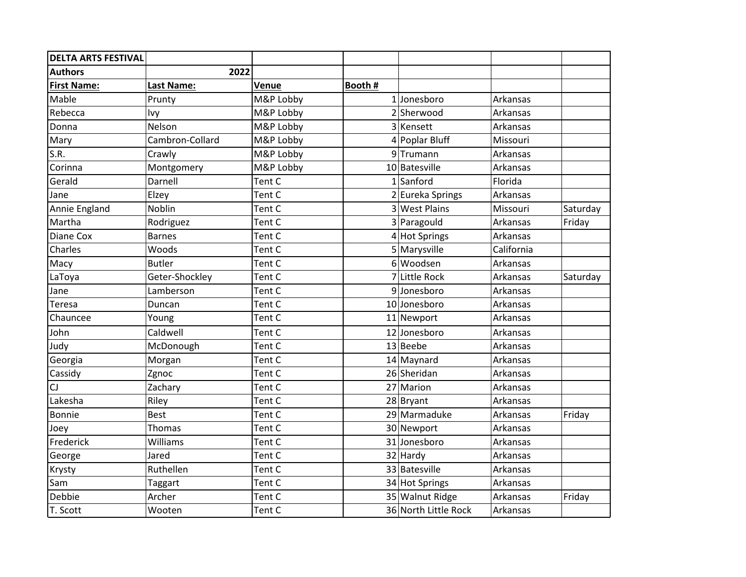| <b>DELTA ARTS FESTIVAL</b> |                   |           |         |                      |            |          |
|----------------------------|-------------------|-----------|---------|----------------------|------------|----------|
| <b>Authors</b>             | 2022              |           |         |                      |            |          |
| <b>First Name:</b>         | <b>Last Name:</b> | Venue     | Booth # |                      |            |          |
| Mable                      | Prunty            | M&P Lobby |         | $1$ Jonesboro        | Arkansas   |          |
| Rebecca                    | Ivy               | M&P Lobby |         | 2 Sherwood           | Arkansas   |          |
| Donna                      | Nelson            | M&P Lobby |         | 3 Kensett            | Arkansas   |          |
| Mary                       | Cambron-Collard   | M&P Lobby |         | 4 Poplar Bluff       | Missouri   |          |
| S.R.                       | Crawly            | M&P Lobby |         | 9Trumann             | Arkansas   |          |
| Corinna                    | Montgomery        | M&P Lobby |         | 10 Batesville        | Arkansas   |          |
| Gerald                     | Darnell           | Tent C    |         | $1$ Sanford          | Florida    |          |
| Jane                       | Elzey             | Tent C    |         | 2 Eureka Springs     | Arkansas   |          |
| Annie England              | Noblin            | Tent C    |         | 3 West Plains        | Missouri   | Saturday |
| Martha                     | Rodriguez         | Tent C    |         | 3 Paragould          | Arkansas   | Friday   |
| Diane Cox                  | <b>Barnes</b>     | Tent C    |         | 4 Hot Springs        | Arkansas   |          |
| Charles                    | Woods             | Tent C    |         | 5 Marysville         | California |          |
| Macy                       | <b>Butler</b>     | Tent C    | 6       | Woodsen              | Arkansas   |          |
| LaToya                     | Geter-Shockley    | Tent C    |         | 7 Little Rock        | Arkansas   | Saturday |
| Jane                       | Lamberson         | Tent C    |         | 9Jonesboro           | Arkansas   |          |
| Teresa                     | Duncan            | Tent C    |         | 10 Jonesboro         | Arkansas   |          |
| Chauncee                   | Young             | Tent C    |         | 11 Newport           | Arkansas   |          |
| John                       | Caldwell          | Tent C    |         | 12 Jonesboro         | Arkansas   |          |
| Judy                       | McDonough         | Tent C    |         | 13 Beebe             | Arkansas   |          |
| Georgia                    | Morgan            | Tent C    |         | 14 Maynard           | Arkansas   |          |
| Cassidy                    | Zgnoc             | Tent C    |         | 26 Sheridan          | Arkansas   |          |
| CJ                         | Zachary           | Tent C    |         | 27 Marion            | Arkansas   |          |
| Lakesha                    | Riley             | Tent C    |         | 28 Bryant            | Arkansas   |          |
| Bonnie                     | <b>Best</b>       | Tent C    |         | 29 Marmaduke         | Arkansas   | Friday   |
| Joey                       | Thomas            | Tent C    |         | 30 Newport           | Arkansas   |          |
| Frederick                  | Williams          | Tent C    |         | 31 Jonesboro         | Arkansas   |          |
| George                     | Jared             | Tent C    |         | 32 Hardy             | Arkansas   |          |
| Krysty                     | Ruthellen         | Tent C    |         | 33 Batesville        | Arkansas   |          |
| Sam                        | Taggart           | Tent C    |         | 34 Hot Springs       | Arkansas   |          |
| Debbie                     | Archer            | Tent C    |         | 35 Walnut Ridge      | Arkansas   | Friday   |
| T. Scott                   | Wooten            | Tent C    |         | 36 North Little Rock | Arkansas   |          |